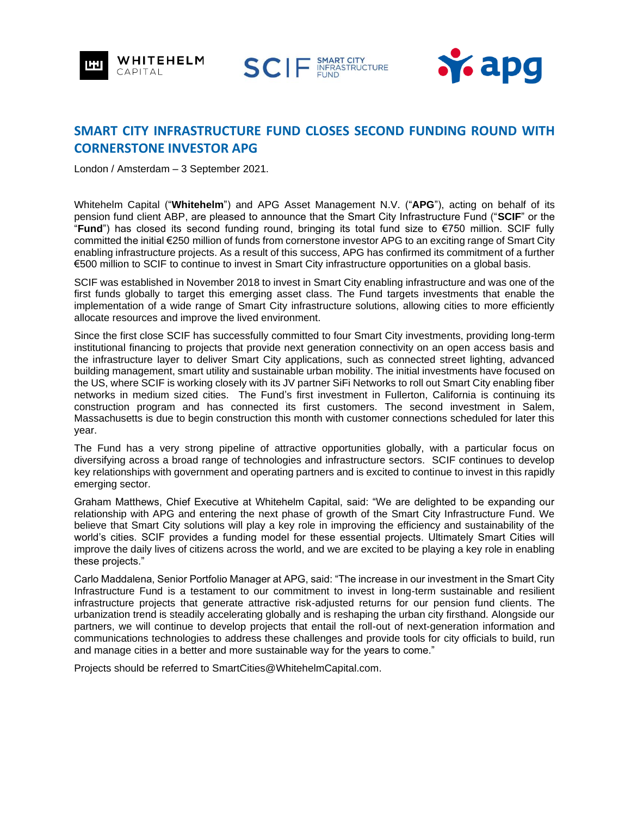





## **SMART CITY INFRASTRUCTURE FUND CLOSES SECOND FUNDING ROUND WITH CORNERSTONE INVESTOR APG**

London / Amsterdam – 3 September 2021.

Whitehelm Capital ("**Whitehelm**") and APG Asset Management N.V. ("**APG**"), acting on behalf of its pension fund client ABP, are pleased to announce that the Smart City Infrastructure Fund ("**SCIF**" or the "**Fund**") has closed its second funding round, bringing its total fund size to €750 million. SCIF fully committed the initial €250 million of funds from cornerstone investor APG to an exciting range of Smart City enabling infrastructure projects. As a result of this success, APG has confirmed its commitment of a further €500 million to SCIF to continue to invest in Smart City infrastructure opportunities on a global basis.

SCIF was established in November 2018 to invest in Smart City enabling infrastructure and was one of the first funds globally to target this emerging asset class. The Fund targets investments that enable the implementation of a wide range of Smart City infrastructure solutions, allowing cities to more efficiently allocate resources and improve the lived environment.

Since the first close SCIF has successfully committed to four Smart City investments, providing long-term institutional financing to projects that provide next generation connectivity on an open access basis and the infrastructure layer to deliver Smart City applications, such as connected street lighting, advanced building management, smart utility and sustainable urban mobility. The initial investments have focused on the US, where SCIF is working closely with its JV partner SiFi Networks to roll out Smart City enabling fiber networks in medium sized cities. The Fund's first investment in Fullerton, California is continuing its construction program and has connected its first customers. The second investment in Salem, Massachusetts is due to begin construction this month with customer connections scheduled for later this year.

The Fund has a very strong pipeline of attractive opportunities globally, with a particular focus on diversifying across a broad range of technologies and infrastructure sectors. SCIF continues to develop key relationships with government and operating partners and is excited to continue to invest in this rapidly emerging sector.

Graham Matthews, Chief Executive at Whitehelm Capital, said: "We are delighted to be expanding our relationship with APG and entering the next phase of growth of the Smart City Infrastructure Fund. We believe that Smart City solutions will play a key role in improving the efficiency and sustainability of the world's cities. SCIF provides a funding model for these essential projects. Ultimately Smart Cities will improve the daily lives of citizens across the world, and we are excited to be playing a key role in enabling these projects."

Carlo Maddalena, Senior Portfolio Manager at APG, said: "The increase in our investment in the Smart City Infrastructure Fund is a testament to our commitment to invest in long-term sustainable and resilient infrastructure projects that generate attractive risk-adjusted returns for our pension fund clients. The urbanization trend is steadily accelerating globally and is reshaping the urban city firsthand. Alongside our partners, we will continue to develop projects that entail the roll-out of next-generation information and communications technologies to address these challenges and provide tools for city officials to build, run and manage cities in a better and more sustainable way for the years to come."

Projects should be referred to [SmartCities@WhitehelmCapital.com.](mailto:SmartCities@WhitehelmCapital.com)